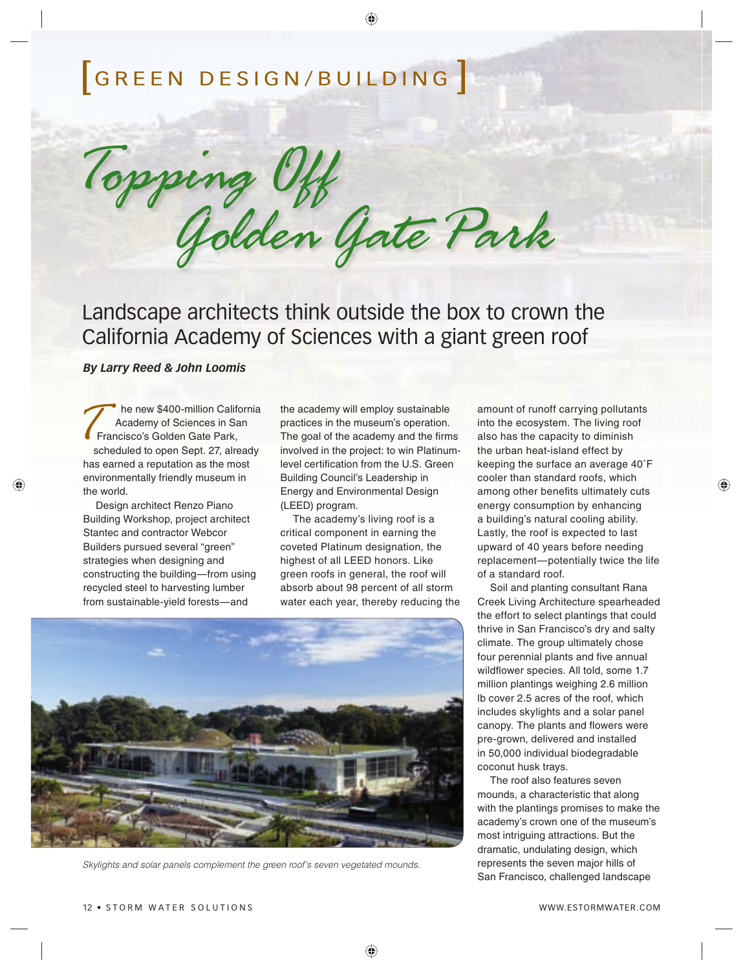# [GREEN DESIGN/BUILDING ]

Golden Gate Park Topping Off

Landscape architects think outside the box to crown the California Academy of Sciences with a giant green roof

*By Larry Reed & John Loomis*

he new \$400-million California Academy of Sciences in San Francisco's Golden Gate Park, scheduled to open Sept. 27, already has earned a reputation as the most environmentally friendly museum in the world.

♠

Design architect Renzo Piano Building Workshop, project architect Stantec and contractor Webcor Builders pursued several "green" strategies when designing and constructing the building—from using recycled steel to harvesting lumber from sustainable-yield forests—and

the academy will employ sustainable practices in the museum's operation. The goal of the academy and the firms involved in the project: to win Platinumlevel certification from the U.S. Green Building Council's Leadership in Energy and Environmental Design (LEED) program.

◈

The academy's living roof is a critical component in earning the coveted Platinum designation, the highest of all LEED honors. Like green roofs in general, the roof will absorb about 98 percent of all storm water each year, thereby reducing the



Skylights and solar panels complement the green roof's seven vegetated mounds.

amount of runoff carrying pollutants into the ecosystem. The living roof also has the capacity to diminish the urban heat-island effect by keeping the surface an average 40˚F cooler than standard roofs, which among other benefits ultimately cuts energy consumption by enhancing a building's natural cooling ability. Lastly, the roof is expected to last upward of 40 years before needing replacement—potentially twice the life of a standard roof.

♠

Soil and planting consultant Rana Creek Living Architecture spearheaded the effort to select plantings that could thrive in San Francisco's dry and salty climate. The group ultimately chose four perennial plants and five annual wildflower species. All told, some 1.7 million plantings weighing 2.6 million lb cover 2.5 acres of the roof, which includes skylights and a solar panel canopy. The plants and flowers were pre-grown, delivered and installed in 50,000 individual biodegradable coconut husk trays.

The roof also features seven mounds, a characteristic that along with the plantings promises to make the academy's crown one of the museum's most intriguing attractions. But the dramatic, undulating design, which represents the seven major hills of San Francisco, challenged landscape

#### 12 • STORM WATER SOLUTIONS NOTIFIED AND RESERVE TO A STORM WATER.COM

♠